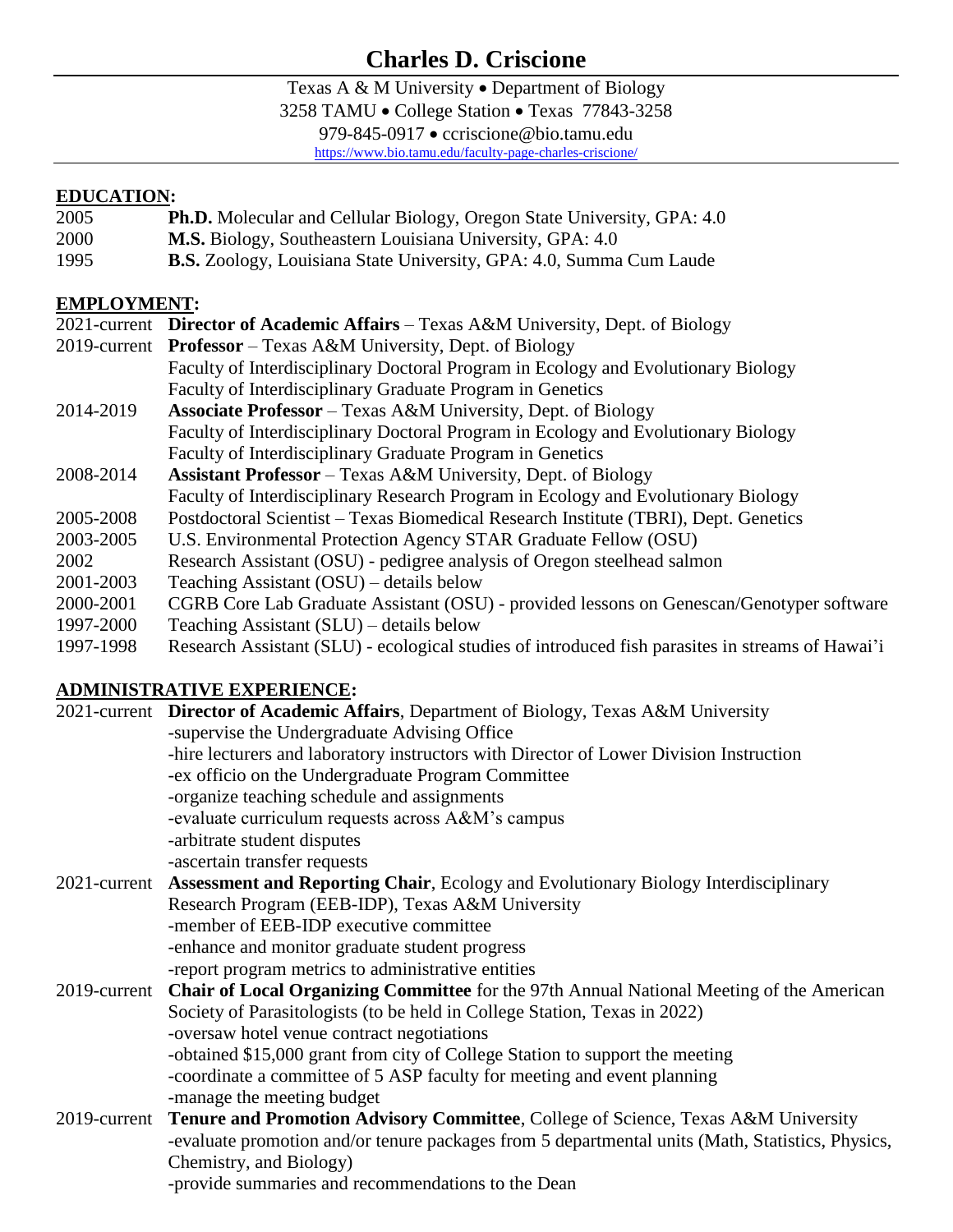# **Charles D. Criscione**

Texas A & M University • Department of Biology

3258 TAMU · College Station · Texas 77843-3258

979-845-0917 · ccriscione@bio.tamu.edu

<https://www.bio.tamu.edu/faculty-page-charles-criscione/>

#### **EDUCATION:**

- 2005 **Ph.D.** Molecular and Cellular Biology, Oregon State University, GPA: 4.0
- 2000 **M.S.** Biology, Southeastern Louisiana University, GPA: 4.0
- 1995 **B.S.** Zoology, Louisiana State University, GPA: 4.0, Summa Cum Laude

### **EMPLOYMENT:**

|           | 2021-current <b>Director of Academic Affairs</b> – Texas A&M University, Dept. of Biology        |
|-----------|--------------------------------------------------------------------------------------------------|
|           | 2019-current Professor – Texas A&M University, Dept. of Biology                                  |
|           | Faculty of Interdisciplinary Doctoral Program in Ecology and Evolutionary Biology                |
|           | Faculty of Interdisciplinary Graduate Program in Genetics                                        |
| 2014-2019 | <b>Associate Professor</b> – Texas A&M University, Dept. of Biology                              |
|           | Faculty of Interdisciplinary Doctoral Program in Ecology and Evolutionary Biology                |
|           | Faculty of Interdisciplinary Graduate Program in Genetics                                        |
| 2008-2014 | <b>Assistant Professor</b> – Texas A&M University, Dept. of Biology                              |
|           | Faculty of Interdisciplinary Research Program in Ecology and Evolutionary Biology                |
| 2005-2008 | Postdoctoral Scientist - Texas Biomedical Research Institute (TBRI), Dept. Genetics              |
| 2003-2005 | U.S. Environmental Protection Agency STAR Graduate Fellow (OSU)                                  |
| 2002      | Research Assistant (OSU) - pedigree analysis of Oregon steelhead salmon                          |
| 2001-2003 | Teaching Assistant (OSU) – details below                                                         |
| 2000-2001 | CGRB Core Lab Graduate Assistant (OSU) - provided lessons on Genescan/Genotyper software         |
| 1997-2000 | Teaching Assistant (SLU) – details below                                                         |
| 1997-1998 | Research Assistant (SLU) - ecological studies of introduced fish parasites in streams of Hawai'i |

# **ADMINISTRATIVE EXPERIENCE:**

|  | 2021-current Director of Academic Affairs, Department of Biology, Texas A&M University                |
|--|-------------------------------------------------------------------------------------------------------|
|  | -supervise the Undergraduate Advising Office                                                          |
|  | -hire lecturers and laboratory instructors with Director of Lower Division Instruction                |
|  | -ex officio on the Undergraduate Program Committee                                                    |
|  | -organize teaching schedule and assignments                                                           |
|  | -evaluate curriculum requests across A&M's campus                                                     |
|  | -arbitrate student disputes                                                                           |
|  | -ascertain transfer requests                                                                          |
|  | 2021-current Assessment and Reporting Chair, Ecology and Evolutionary Biology Interdisciplinary       |
|  | Research Program (EEB-IDP), Texas A&M University                                                      |
|  | -member of EEB-IDP executive committee                                                                |
|  | -enhance and monitor graduate student progress                                                        |
|  | -report program metrics to administrative entities                                                    |
|  | 2019-current Chair of Local Organizing Committee for the 97th Annual National Meeting of the American |
|  | Society of Parasitologists (to be held in College Station, Texas in 2022)                             |
|  | -oversaw hotel venue contract negotiations                                                            |
|  | -obtained \$15,000 grant from city of College Station to support the meeting                          |
|  | -coordinate a committee of 5 ASP faculty for meeting and event planning                               |
|  | -manage the meeting budget                                                                            |
|  | 2019-current Tenure and Promotion Advisory Committee, College of Science, Texas A&M University        |
|  | -evaluate promotion and/or tenure packages from 5 departmental units (Math, Statistics, Physics,      |
|  | Chemistry, and Biology)                                                                               |
|  | -provide summaries and recommendations to the Dean                                                    |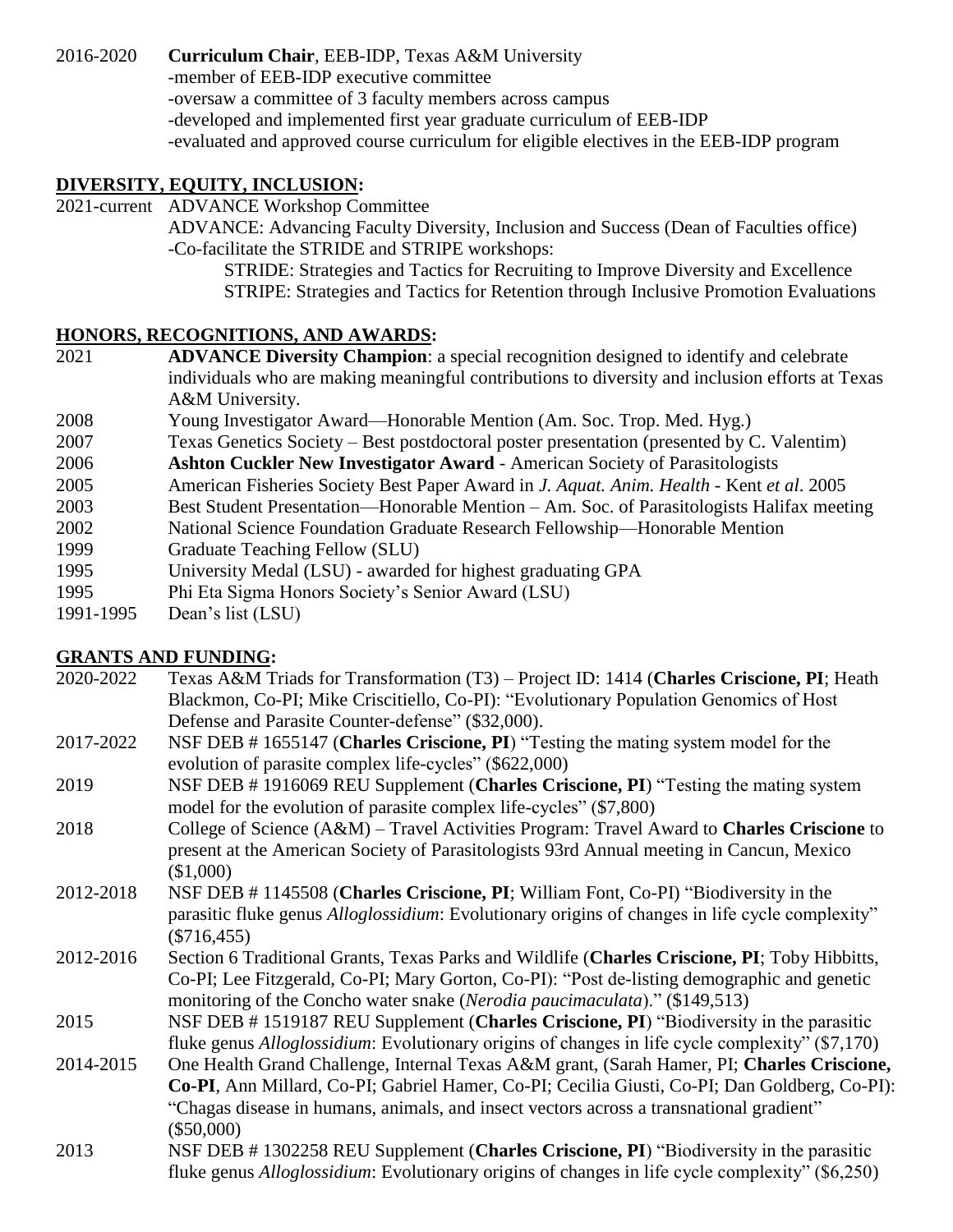2016-2020 **Curriculum Chair**, EEB-IDP, Texas A&M University

-member of EEB-IDP executive committee

-oversaw a committee of 3 faculty members across campus

-developed and implemented first year graduate curriculum of EEB-IDP

-evaluated and approved course curriculum for eligible electives in the EEB-IDP program

### **DIVERSITY, EQUITY, INCLUSION:**

2021-current ADVANCE Workshop Committee

ADVANCE: Advancing Faculty Diversity, Inclusion and Success (Dean of Faculties office) -Co-facilitate the STRIDE and STRIPE workshops:

STRIDE: Strategies and Tactics for Recruiting to Improve Diversity and Excellence STRIPE: Strategies and Tactics for Retention through Inclusive Promotion Evaluations

### **HONORS, RECOGNITIONS, AND AWARDS:**

- 2021 **ADVANCE Diversity Champion**: a special recognition designed to identify and celebrate individuals who are making meaningful contributions to diversity and inclusion efforts at Texas A&M University.
- 2008 Young Investigator Award—Honorable Mention (Am. Soc. Trop. Med. Hyg.)
- 2007 Texas Genetics Society Best postdoctoral poster presentation (presented by C. Valentim)
- 2006 **Ashton Cuckler New Investigator Award** American Society of Parasitologists
- 2005 American Fisheries Society Best Paper Award in *J. Aquat. Anim. Health* Kent *et al*. 2005
- 2003 Best Student Presentation—Honorable Mention Am. Soc. of Parasitologists Halifax meeting
- 2002 National Science Foundation Graduate Research Fellowship—Honorable Mention
- 1999 Graduate Teaching Fellow (SLU)
- 1995 University Medal (LSU) awarded for highest graduating GPA
- 1995 Phi Eta Sigma Honors Society's Senior Award (LSU)
- 1991-1995 Dean's list (LSU)

### **GRANTS AND FUNDING:**

- 2020-2022 Texas A&M Triads for Transformation (T3) Project ID: 1414 (**Charles Criscione, PI**; Heath Blackmon, Co-PI; Mike Criscitiello, Co-PI): "Evolutionary Population Genomics of Host Defense and Parasite Counter-defense" (\$32,000).
- 2017-2022 NSF DEB # 1655147 (**Charles Criscione, PI**) "Testing the mating system model for the evolution of parasite complex life-cycles" (\$622,000)
- 2019 NSF DEB # 1916069 REU Supplement (**Charles Criscione, PI**) "Testing the mating system model for the evolution of parasite complex life-cycles" (\$7,800)
- 2018 College of Science (A&M) Travel Activities Program: Travel Award to **Charles Criscione** to present at the American Society of Parasitologists 93rd Annual meeting in Cancun, Mexico (\$1,000)
- 2012-2018 NSF DEB # 1145508 (**Charles Criscione, PI**; William Font, Co-PI) "Biodiversity in the parasitic fluke genus *Alloglossidium*: Evolutionary origins of changes in life cycle complexity" (\$716,455)
- 2012-2016 Section 6 Traditional Grants, Texas Parks and Wildlife (**Charles Criscione, PI**; Toby Hibbitts, Co-PI; Lee Fitzgerald, Co-PI; Mary Gorton, Co-PI): "Post de-listing demographic and genetic monitoring of the Concho water snake (*Nerodia paucimaculata*)." (\$149,513)

2015 NSF DEB # 1519187 REU Supplement (**Charles Criscione, PI**) "Biodiversity in the parasitic fluke genus *Alloglossidium*: Evolutionary origins of changes in life cycle complexity" (\$7,170)

- 2014-2015 One Health Grand Challenge, Internal Texas A&M grant, (Sarah Hamer, PI; **Charles Criscione, Co-PI**, Ann Millard, Co-PI; Gabriel Hamer, Co-PI; Cecilia Giusti, Co-PI; Dan Goldberg, Co-PI): "Chagas disease in humans, animals, and insect vectors across a transnational gradient" (\$50,000)
- 2013 NSF DEB # 1302258 REU Supplement (**Charles Criscione, PI**) "Biodiversity in the parasitic fluke genus *Alloglossidium*: Evolutionary origins of changes in life cycle complexity" (\$6,250)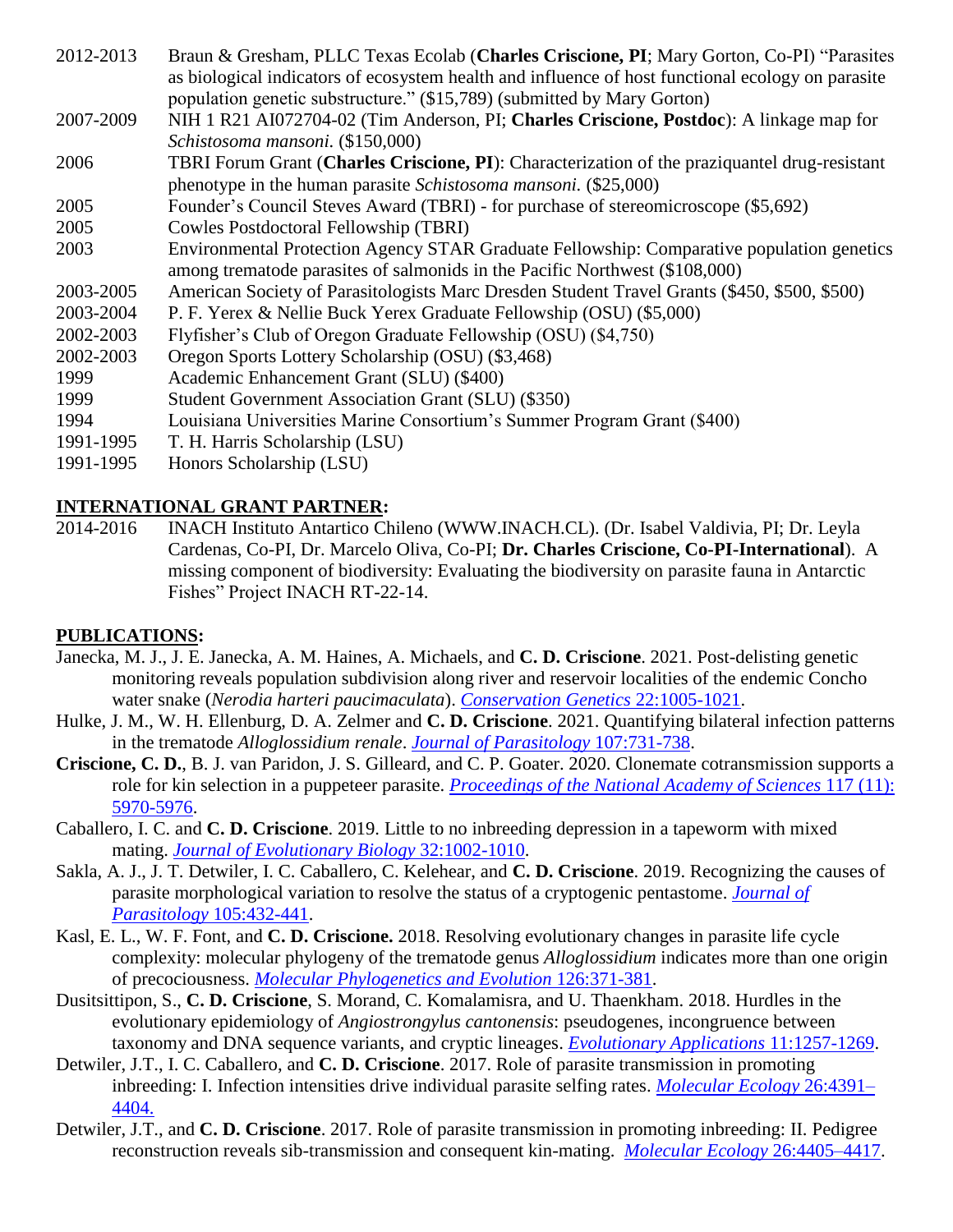- 2012-2013 Braun & Gresham, PLLC Texas Ecolab (**Charles Criscione, PI**; Mary Gorton, Co-PI) "Parasites as biological indicators of ecosystem health and influence of host functional ecology on parasite population genetic substructure." (\$15,789) (submitted by Mary Gorton)
- 2007-2009 NIH 1 R21 AI072704-02 (Tim Anderson, PI; **Charles Criscione, Postdoc**): A linkage map for *Schistosoma mansoni.* (\$150,000)
- 2006 TBRI Forum Grant (**Charles Criscione, PI**): Characterization of the praziquantel drug-resistant phenotype in the human parasite *Schistosoma mansoni.* (\$25,000)
- 2005 Founder's Council Steves Award (TBRI) for purchase of stereomicroscope (\$5,692)
- 2005 Cowles Postdoctoral Fellowship (TBRI)
- 2003 Environmental Protection Agency STAR Graduate Fellowship: Comparative population genetics among trematode parasites of salmonids in the Pacific Northwest (\$108,000)
- 2003-2005 American Society of Parasitologists Marc Dresden Student Travel Grants (\$450, \$500, \$500)
- 2003-2004 P. F. Yerex & Nellie Buck Yerex Graduate Fellowship (OSU) (\$5,000)
- 2002-2003 Flyfisher's Club of Oregon Graduate Fellowship (OSU) (\$4,750)
- 2002-2003 Oregon Sports Lottery Scholarship (OSU) (\$3,468)
- 1999 Academic Enhancement Grant (SLU) (\$400)
- 1999 Student Government Association Grant (SLU) (\$350)
- 1994 Louisiana Universities Marine Consortium's Summer Program Grant (\$400)
- 1991-1995 T. H. Harris Scholarship (LSU)
- 1991-1995 Honors Scholarship (LSU)

#### **INTERNATIONAL GRANT PARTNER:**

2014-2016 INACH Instituto Antartico Chileno (WWW.INACH.CL). (Dr. Isabel Valdivia, PI; Dr. Leyla Cardenas, Co-PI, Dr. Marcelo Oliva, Co-PI; **Dr. Charles Criscione, Co-PI-International**). A missing component of biodiversity: Evaluating the biodiversity on parasite fauna in Antarctic Fishes" Project INACH RT-22-14.

#### **PUBLICATIONS:**

- Janecka, M. J., J. E. Janecka, A. M. Haines, A. Michaels, and **C. D. Criscione**. 2021. Post-delisting genetic monitoring reveals population subdivision along river and reservoir localities of the endemic Concho water snake (*Nerodia harteri paucimaculata*). *[Conservation Genetics](https://www.bio.tamu.edu/wp-content/uploads/2021/10/Janecka-etal-CG-2021-concho-conservation.pdf)* 22:1005-1021.
- Hulke, J. M., W. H. Ellenburg, D. A. Zelmer and **C. D. Criscione**. 2021. Quantifying bilateral infection patterns in the trematode *Alloglossidium renale*. *[Journal of Parasitology](https://www.bio.tamu.edu/wp-content/uploads/2021/09/21_hulke_etal-JP-2021.pdf)* 107:731-738.
- **Criscione, C. D.**, B. J. van Paridon, J. S. Gilleard, and C. P. Goater. 2020. Clonemate cotransmission supports a role for kin selection in a puppeteer parasite. *[Proceedings of the National Academy of Sciences](https://www.bio.tamu.edu/wp-content/uploads/2020/10/20_Criscione-etal-2020-PNAS.pdf)* 117 (11): [5970-5976.](https://www.bio.tamu.edu/wp-content/uploads/2020/10/20_Criscione-etal-2020-PNAS.pdf)
- Caballero, I. C. and **C. D. Criscione**. 2019. Little to no inbreeding depression in a tapeworm with mixed mating. *[Journal of Evolutionary Biology](https://www.bio.tamu.edu/wp-content/uploads/2020/01/19-Caballero-etal-2019-JEB.pdf)* 32:1002-1010.
- Sakla, A. J., J. T. Detwiler, I. C. Caballero, C. Kelehear, and **C. D. Criscione**. 2019. Recognizing the causes of parasite morphological variation to resolve the status of a cryptogenic pentastome. *[Journal of](https://www.bio.tamu.edu/wp-content/uploads/2020/01/19_Sakla-etal-2019-JP.pdf)  Parasitology* [105:432-441.](https://www.bio.tamu.edu/wp-content/uploads/2020/01/19_Sakla-etal-2019-JP.pdf)
- Kasl, E. L., W. F. Font, and **C. D. Criscione.** 2018. Resolving evolutionary changes in parasite life cycle complexity: molecular phylogeny of the trematode genus *Alloglossidium* indicates more than one origin of precociousness. *[Molecular Phylogenetics and Evolution](https://www.bio.tamu.edu/wp-content/uploads/2020/01/18_Kasl-et-al-2018-MPE.pdf)* 126:371-381.
- Dusitsittipon, S., **C. D. Criscione**, S. Morand, C. Komalamisra, and U. Thaenkham. 2018. Hurdles in the evolutionary epidemiology of *Angiostrongylus cantonensis*: pseudogenes, incongruence between taxonomy and DNA sequence variants, and cryptic lineages. *[Evolutionary Applications](https://www.bio.tamu.edu/wp-content/uploads/2020/01/18_Dusitsittipon-etal-2018-EA.pdf)* 11:1257-1269.
- Detwiler, J.T., I. C. Caballero, and **C. D. Criscione**. 2017. Role of parasite transmission in promoting inbreeding: I. Infection intensities drive individual parasite selfing rates. *[Molecular Ecology](https://www.bio.tamu.edu/wp-content/uploads/2020/01/17_Detwiler-et-al-2017-ME.pdf)* 26:4391– [4404.](https://www.bio.tamu.edu/wp-content/uploads/2020/01/17_Detwiler-et-al-2017-ME.pdf)
- Detwiler, J.T., and **C. D. Criscione**. 2017. Role of parasite transmission in promoting inbreeding: II. Pedigree reconstruction reveals sib-transmission and consequent kin-mating. *[Molecular Ecology](https://www.bio.tamu.edu/wp-content/uploads/2020/01/17_DetwilerCriscione-2017-ME.pdf)* 26:4405–4417.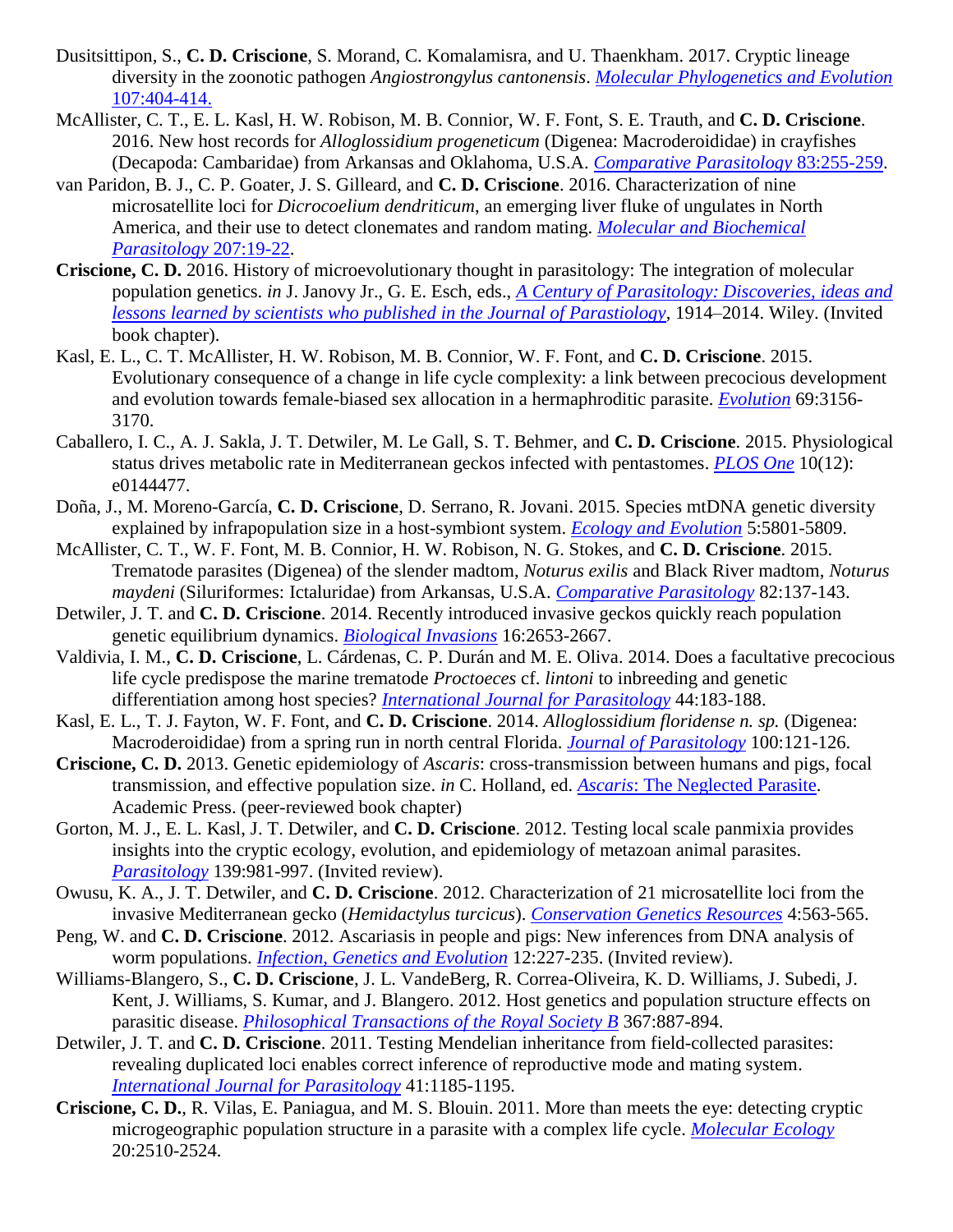- Dusitsittipon, S., **C. D. Criscione**, S. Morand, C. Komalamisra, and U. Thaenkham. 2017. Cryptic lineage diversity in the zoonotic pathogen *Angiostrongylus cantonensis*. *[Molecular Phylogenetics and Evolution](https://www.bio.tamu.edu/wp-content/uploads/2020/01/17_Dusitsittipon-et-al-2017-MPE.pdf)* [107:404-414.](https://www.bio.tamu.edu/wp-content/uploads/2020/01/17_Dusitsittipon-et-al-2017-MPE.pdf)
- McAllister, C. T., E. L. Kasl, H. W. Robison, M. B. Connior, W. F. Font, S. E. Trauth, and **C. D. Criscione**. 2016. New host records for *Alloglossidium progeneticum* (Digenea: Macroderoididae) in crayfishes (Decapoda: Cambaridae) from Arkansas and Oklahoma, U.S.A. *[Comparative Parasitology](https://www.bio.tamu.edu/wp-content/uploads/2020/01/16_mcallister_et_al-2016-CP.pdf)* 83:255-259.
- van Paridon, B. J., C. P. Goater, J. S. Gilleard, and **C. D. Criscione**. 2016. Characterization of nine microsatellite loci for *Dicrocoelium dendriticum*, an emerging liver fluke of ungulates in North America, and their use to detect clonemates and random mating. *[Molecular and Biochemical](https://www.bio.tamu.edu/wp-content/uploads/2020/01/16_van-Paridon-et-al-2016-MBP-.pdf)  [Parasitology](https://www.bio.tamu.edu/wp-content/uploads/2020/01/16_van-Paridon-et-al-2016-MBP-.pdf)* 207:19-22.
- **Criscione, C. D.** 2016. History of microevolutionary thought in parasitology: The integration of molecular population genetics. *in* J. Janovy Jr., G. E. Esch, eds., *[A Century of Parasitology:](https://www.bio.tamu.edu/wp-content/uploads/2020/01/16_Criscione-CP-BC-2016.pdf) Discoveries, ideas and [lessons learned by scientists who published in the Journal of Parastiology](https://www.bio.tamu.edu/wp-content/uploads/2020/01/16_Criscione-CP-BC-2016.pdf)*, 1914–2014. Wiley. (Invited book chapter).
- Kasl, E. L., C. T. McAllister, H. W. Robison, M. B. Connior, W. F. Font, and **C. D. Criscione**. 2015. Evolutionary consequence of a change in life cycle complexity: a link between precocious development and evolution towards female-biased sex allocation in a hermaphroditic parasite. *[Evolution](https://www.bio.tamu.edu/wp-content/uploads/2020/01/15_Kasl_et_al-2015-E.pdf)* 69:3156- 3170.
- Caballero, I. C., A. J. Sakla, J. T. Detwiler, M. Le Gall, S. T. Behmer, and **C. D. Criscione**. 2015. Physiological status drives metabolic rate in Mediterranean geckos infected with pentastomes. *[PLOS One](https://www.bio.tamu.edu/wp-content/uploads/2020/01/15_caballero_et_al-2015-Plos_1-.pdf)* 10(12): e0144477.
- Doña, J., M. Moreno-García, **C. D. Criscione**, D. Serrano, R. Jovani. 2015. Species mtDNA genetic diversity explained by infrapopulation size in a host-symbiont system. *[Ecology and Evolution](https://www.bio.tamu.edu/wp-content/uploads/2020/01/15_dona_et_al-2015-EE.pdf)* 5:5801-5809.
- McAllister, C. T., W. F. Font, M. B. Connior, H. W. Robison, N. G. Stokes, and **C. D. Criscione**. 2015. Trematode parasites (Digenea) of the slender madtom, *Noturus exilis* and Black River madtom, *Noturus maydeni* (Siluriformes: Ictaluridae) from Arkansas, U.S.A. *[Comparative Parasitology](https://www.bio.tamu.edu/wp-content/uploads/2020/01/15_mcallister_et_al-2015-CP.pdf)* 82:137-143.
- Detwiler, J. T. and **C. D. Criscione**. 2014. Recently introduced invasive geckos quickly reach population genetic equilibrium dynamics. *[Biological Invasions](https://www.bio.tamu.edu/wp-content/uploads/2020/01/14_detwilercriscione_BI_2014.pdf)* 16:2653-2667.
- Valdivia, I. M., **C. D. Criscione**, L. Cárdenas, C. P. Durán and M. E. Oliva. 2014. Does a facultative precocious life cycle predispose the marine trematode *Proctoeces* cf. *lintoni* to inbreeding and genetic differentiation among host species? *[International Journal for Parasitology](https://www.bio.tamu.edu/wp-content/uploads/2020/01/14_valdivia_et_al-2014-IJP.pdf)* 44:183-188.
- Kasl, E. L., T. J. Fayton, W. F. Font, and **C. D. Criscione**. 2014. *Alloglossidium floridense n. sp.* (Digenea: Macroderoididae) from a spring run in north central Florida. *[Journal of Parasitology](https://www.bio.tamu.edu/wp-content/uploads/2020/01/14_kasl_et_al_JP_2014.pdf)* 100:121-126.
- **Criscione, C. D.** 2013. Genetic epidemiology of *Ascaris*: cross-transmission between humans and pigs, focal transmission, and effective population size. *in* C. Holland, ed. *Ascaris*[: The Neglected Parasite.](https://www.bio.tamu.edu/wp-content/uploads/2020/01/13_criscione-Ascaris-BC-2013.pdf) Academic Press. (peer-reviewed book chapter)
- Gorton, M. J., E. L. Kasl, J. T. Detwiler, and **C. D. Criscione**. 2012. Testing local scale panmixia provides insights into the cryptic ecology, evolution, and epidemiology of metazoan animal parasites. *[Parasitology](https://www.bio.tamu.edu/wp-content/uploads/2020/01/12_gorton_et_al-P-2012.pdf)* 139:981-997. (Invited review).
- Owusu, K. A., J. T. Detwiler, and **C. D. Criscione**. 2012. Characterization of 21 microsatellite loci from the invasive Mediterranean gecko (*Hemidactylus turcicus*). *[Conservation Genetics Resources](https://www.bio.tamu.edu/wp-content/uploads/2020/01/12_owusu_et_al_CGR-2012.pdf)* 4:563-565.
- Peng, W. and **C. D. Criscione**. 2012. Ascariasis in people and pigs: New inferences from DNA analysis of worm populations. *[Infection, Genetics and Evolution](https://www.bio.tamu.edu/wp-content/uploads/2020/01/12_pengcriscione_IGE-2012.pdf)* 12:227-235. (Invited review).
- Williams-Blangero, S., **C. D. Criscione**, J. L. VandeBerg, R. Correa-Oliveira, K. D. Williams, J. Subedi, J. Kent, J. Williams, S. Kumar, and J. Blangero. 2012. Host genetics and population structure effects on parasitic disease. *[Philosophical Transactions of the Royal Society B](https://www.bio.tamu.edu/wp-content/uploads/2020/01/12_williams_blangero-et-al-PTRSB12.pdf)* 367:887-894.
- Detwiler, J. T. and **C. D. Criscione**. 2011. Testing Mendelian inheritance from field-collected parasites: revealing duplicated loci enables correct inference of reproductive mode and mating system. *[International Journal for Parasitology](https://www.bio.tamu.edu/wp-content/uploads/2020/01/11_detwilercriscione_IJP_2011.pdf)* 41:1185-1195.
- **Criscione, C. D.**, R. Vilas, E. Paniagua, and M. S. Blouin. 2011. More than meets the eye: detecting cryptic microgeographic population structure in a parasite with a complex life cycle. *[Molecular Ecology](https://www.bio.tamu.edu/wp-content/uploads/2020/01/11_criscione_et_-al_ME-2011.pdf)* 20:2510-2524.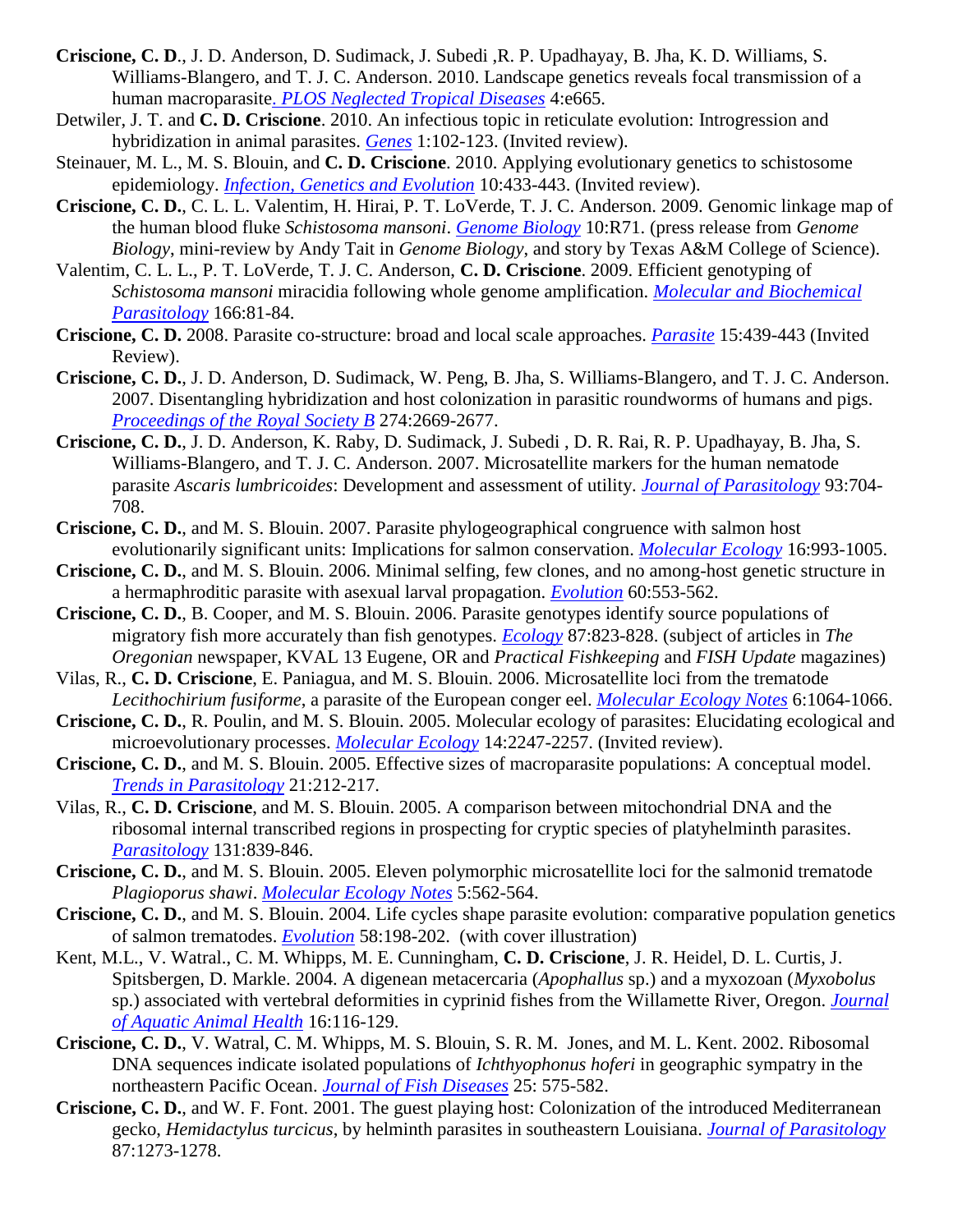- **Criscione, C. D**., J. D. Anderson, D. Sudimack, J. Subedi ,R. P. Upadhayay, B. Jha, K. D. Williams, S. Williams-Blangero, and T. J. C. Anderson. 2010. Landscape genetics reveals focal transmission of a human macroparasite. *[PLOS Neglected Tropical Diseases](https://www.bio.tamu.edu/wp-content/uploads/2020/01/10_Criscione_et_al_PLOSNTD10.pdf)* 4:e665.
- Detwiler, J. T. and **C. D. Criscione**. 2010. An infectious topic in reticulate evolution: Introgression and hybridization in animal parasites. *[Genes](https://www.bio.tamu.edu/wp-content/uploads/2020/01/10_detwilercriscione-Genes10.pdf)* 1:102-123. (Invited review).
- Steinauer, M. L., M. S. Blouin, and **C. D. Criscione**. 2010. Applying evolutionary genetics to schistosome epidemiology. *[Infection, Genetics and Evolution](https://www.bio.tamu.edu/wp-content/uploads/2020/01/10_Steinauer_et_al_IGE10.pdf)* 10:433-443. (Invited review).
- **Criscione, C. D.**, C. L. L. Valentim, H. Hirai, P. T. LoVerde, T. J. C. Anderson. 2009. Genomic linkage map of the human blood fluke *Schistosoma mansoni*. *[Genome Biology](https://www.bio.tamu.edu/wp-content/uploads/2020/01/09_criscione_et_al_GB09.pdf)* 10:R71. (press release from *Genome Biology*, mini-review by Andy Tait in *Genome Biology*, and story by Texas A&M College of Science).
- Valentim, C. L. L., P. T. LoVerde, T. J. C. Anderson, **C. D. Criscione**. 2009. Efficient genotyping of *Schistosoma mansoni* miracidia following whole genome amplification. *[Molecular and Biochemical](https://www.bio.tamu.edu/wp-content/uploads/2020/01/09_Valentim_et_al_MBP09.pdf)  [Parasitology](https://www.bio.tamu.edu/wp-content/uploads/2020/01/09_Valentim_et_al_MBP09.pdf)* 166:81-84.
- **Criscione, C. D.** 2008. Parasite co-structure: broad and local scale approaches. *[Parasite](https://www.bio.tamu.edu/wp-content/uploads/2020/01/08_criscioneParasite08.pdf)* 15:439-443 (Invited Review).
- **Criscione, C. D.**, J. D. Anderson, D. Sudimack, W. Peng, B. Jha, S. Williams-Blangero, and T. J. C. Anderson. 2007. Disentangling hybridization and host colonization in parasitic roundworms of humans and pigs. *[Proceedings of the Royal Society](https://www.bio.tamu.edu/wp-content/uploads/2020/01/07_criscionePRSLB07.pdf) B* 274:2669-2677.
- **Criscione, C. D.**, J. D. Anderson, K. Raby, D. Sudimack, J. Subedi , D. R. Rai, R. P. Upadhayay, B. Jha, S. Williams-Blangero, and T. J. C. Anderson. 2007. Microsatellite markers for the human nematode parasite *Ascaris lumbricoides*: Development and assessment of utility. *[Journal of Parasitology](https://www.bio.tamu.edu/wp-content/uploads/2020/01/07_criscioneJP07.pdf)* 93:704- 708.
- **Criscione, C. D.**, and M. S. Blouin. 2007. Parasite phylogeographical congruence with salmon host evolutionarily significant units: Implications for salmon conservation. *[Molecular Ecology](https://www.bio.tamu.edu/wp-content/uploads/2020/01/07_criscioneME07.pdf)* 16:993-1005.
- **Criscione, C. D.**, and M. S. Blouin. 2006. Minimal selfing, few clones, and no among-host genetic structure in a hermaphroditic parasite with asexual larval propagation. *[Evolution](https://www.bio.tamu.edu/wp-content/uploads/2020/01/06_criscioneE06.pdf)* 60:553-562.
- **Criscione, C. D.**, B. Cooper, and M. S. Blouin. 2006. Parasite genotypes identify source populations of migratory fish more accurately than fish genotypes. *[Ecology](https://www.bio.tamu.edu/wp-content/uploads/2020/01/06_criscioneEcology06.pdf)* 87:823-828. (subject of articles in *The Oregonian* newspaper, KVAL 13 Eugene, OR and *Practical Fishkeeping* and *FISH Update* magazines)
- Vilas, R., **C. D. Criscione**, E. Paniagua, and M. S. Blouin. 2006. Microsatellite loci from the trematode *Lecithochirium fusiforme*, a parasite of the European conger eel. *[Molecular Ecology Notes](https://www.bio.tamu.edu/wp-content/uploads/2020/01/06_vilas_et_al_MEN06.pdf)* 6:1064-1066.
- **Criscione, C. D.**, R. Poulin, and M. S. Blouin. 2005. Molecular ecology of parasites: Elucidating ecological and microevolutionary processes. *[Molecular Ecology](https://www.bio.tamu.edu/wp-content/uploads/2020/01/05_criscioneME05.pdf)* 14:2247-2257. (Invited review).
- **Criscione, C. D.**, and M. S. Blouin. 2005. Effective sizes of macroparasite populations: A conceptual model. *[Trends in Parasitology](https://www.bio.tamu.edu/wp-content/uploads/2020/01/05_criscioneTRIP05.pdf)* 21:212-217.
- Vilas, R., **C. D. Criscione**, and M. S. Blouin. 2005. A comparison between mitochondrial DNA and the ribosomal internal transcribed regions in prospecting for cryptic species of platyhelminth parasites. *[Parasitology](https://www.bio.tamu.edu/wp-content/uploads/2020/01/05_vilas_et_al_P05.pdf)* 131:839-846.
- **Criscione, C. D.**, and M. S. Blouin. 2005. Eleven polymorphic microsatellite loci for the salmonid trematode *Plagioporus shawi*. *[Molecular Ecology Notes](https://www.bio.tamu.edu/wp-content/uploads/2020/01/05_criscioneMEN05.pdf)* 5:562-564.
- **Criscione, C. D.**, and M. S. Blouin. 2004. Life cycles shape parasite evolution: comparative population genetics of salmon trematodes. *[Evolution](https://www.bio.tamu.edu/wp-content/uploads/2020/01/04_criscioneE04.pdf)* 58:198-202. (with cover illustration)
- Kent, M.L., V. Watral., C. M. Whipps, M. E. Cunningham, **C. D. Criscione**, J. R. Heidel, D. L. Curtis, J. Spitsbergen, D. Markle. 2004. A digenean metacercaria (*Apophallus* sp.) and a myxozoan (*Myxobolus* sp.) associated with vertebral deformities in cyprinid fishes from the Willamette River, Oregon. *[Journal](https://www.bio.tamu.edu/wp-content/uploads/2020/01/04_kent_et_al_JAAH04.pdf)  [of Aquatic Animal Health](https://www.bio.tamu.edu/wp-content/uploads/2020/01/04_kent_et_al_JAAH04.pdf)* 16:116-129.
- **Criscione, C. D.**, V. Watral, C. M. Whipps, M. S. Blouin, S. R. M. Jones, and M. L. Kent. 2002. Ribosomal DNA sequences indicate isolated populations of *Ichthyophonus hoferi* in geographic sympatry in the northeastern Pacific Ocean. *[Journal of Fish Diseases](https://www.bio.tamu.edu/wp-content/uploads/2020/01/02_criscioneJFD02.pdf)* 25: 575-582.
- **Criscione, C. D.**, and W. F. Font. 2001. The guest playing host: Colonization of the introduced Mediterranean gecko, *Hemidactylus turcicus*, by helminth parasites in southeastern Louisiana. *[Journal of Parasitology](https://www.bio.tamu.edu/wp-content/uploads/2020/01/01_criscioneJP01.pdf)* 87:1273-1278.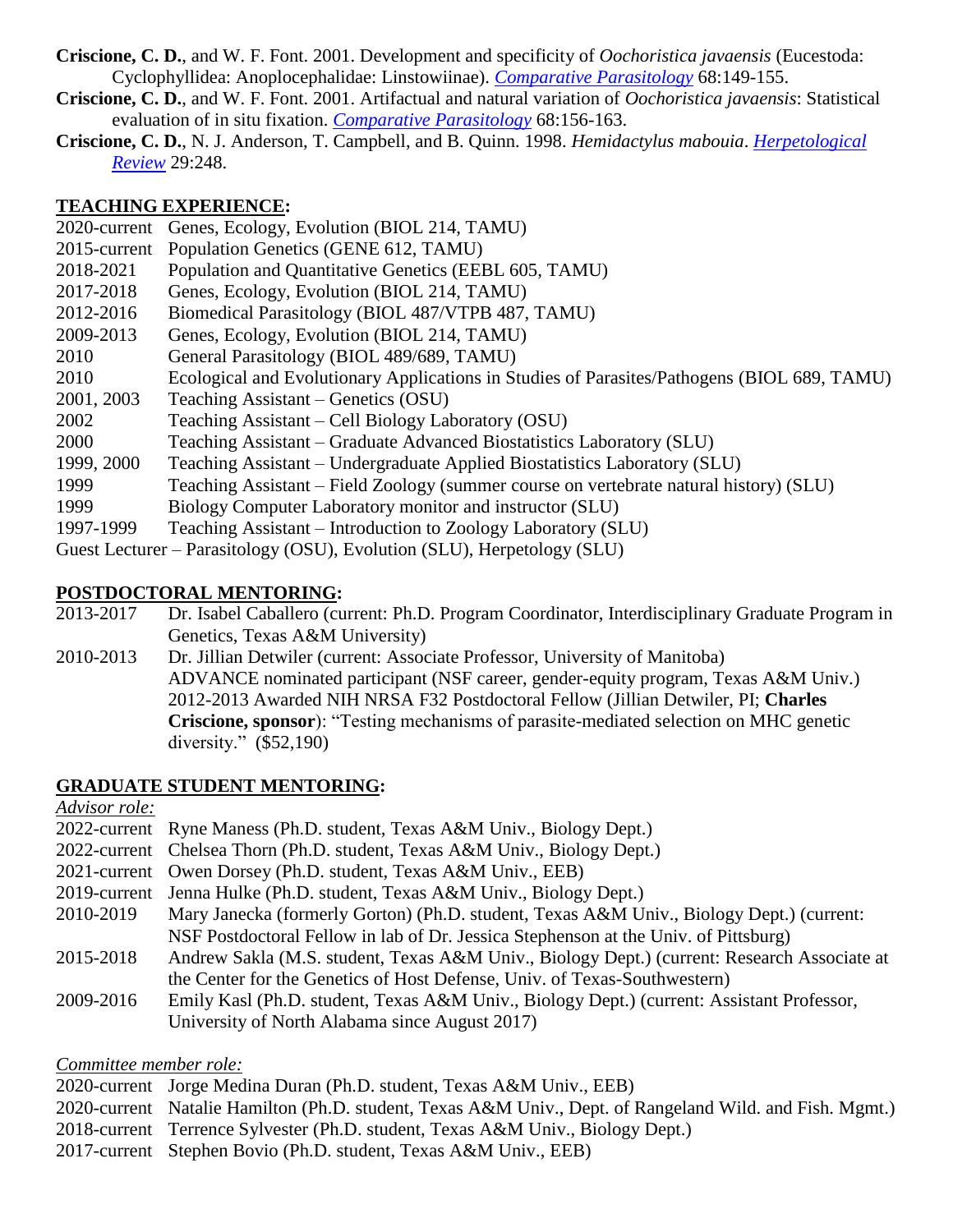- **Criscione, C. D.**, and W. F. Font. 2001. Development and specificity of *Oochoristica javaensis* (Eucestoda: Cyclophyllidea: Anoplocephalidae: Linstowiinae). *[Comparative Parasitology](https://www.bio.tamu.edu/wp-content/uploads/2020/01/01_criscioneCP01a.pdf)* 68:149-155.
- **Criscione, C. D.**, and W. F. Font. 2001. Artifactual and natural variation of *Oochoristica javaensis*: Statistical evaluation of in situ fixation. *[Comparative Parasitology](https://www.bio.tamu.edu/wp-content/uploads/2020/01/01_criscioneCP01b.pdf)* 68:156-163.
- **Criscione, C. D.**, N. J. Anderson, T. Campbell, and B. Quinn. 1998. *Hemidactylus mabouia*. *[Herpetological](https://www.bio.tamu.edu/wp-content/uploads/2020/01/00_98_criscione-etal-1998-HR.pdf) [Review](https://www.bio.tamu.edu/wp-content/uploads/2020/01/00_98_criscione-etal-1998-HR.pdf)* 29:248.

#### **TEACHING EXPERIENCE:**

2020-current Genes, Ecology, Evolution (BIOL 214, TAMU) 2015-current Population Genetics (GENE 612, TAMU) 2018-2021 Population and Quantitative Genetics (EEBL 605, TAMU) 2017-2018 Genes, Ecology, Evolution (BIOL 214, TAMU) 2012-2016 Biomedical Parasitology (BIOL 487/VTPB 487, TAMU) 2009-2013 Genes, Ecology, Evolution (BIOL 214, TAMU) 2010 General Parasitology (BIOL 489/689, TAMU) 2010 Ecological and Evolutionary Applications in Studies of Parasites/Pathogens (BIOL 689, TAMU) 2001, 2003 Teaching Assistant – Genetics (OSU) 2002 Teaching Assistant – Cell Biology Laboratory (OSU) 2000 Teaching Assistant – Graduate Advanced Biostatistics Laboratory (SLU) 1999, 2000 Teaching Assistant – Undergraduate Applied Biostatistics Laboratory (SLU) 1999 Teaching Assistant – Field Zoology (summer course on vertebrate natural history) (SLU) 1999 Biology Computer Laboratory monitor and instructor (SLU) 1997-1999 Teaching Assistant – Introduction to Zoology Laboratory (SLU) Guest Lecturer – Parasitology (OSU), Evolution (SLU), Herpetology (SLU)

## **POSTDOCTORAL MENTORING:**

- 2013-2017 Dr. Isabel Caballero (current: Ph.D. Program Coordinator, Interdisciplinary Graduate Program in Genetics, Texas A&M University)
- 2010-2013 Dr. Jillian Detwiler (current: Associate Professor, University of Manitoba) ADVANCE nominated participant (NSF career, gender-equity program, Texas A&M Univ.) 2012-2013 Awarded NIH NRSA F32 Postdoctoral Fellow (Jillian Detwiler, PI; **Charles Criscione, sponsor**): "Testing mechanisms of parasite-mediated selection on MHC genetic diversity." (\$52,190)

### **GRADUATE STUDENT MENTORING:**

*Advisor role:*

- 2022-current Ryne Maness (Ph.D. student, Texas A&M Univ., Biology Dept.)
- 2022-current Chelsea Thorn (Ph.D. student, Texas A&M Univ., Biology Dept.)
- 2021-current Owen Dorsey (Ph.D. student, Texas A&M Univ., EEB)
- 2019-current Jenna Hulke (Ph.D. student, Texas A&M Univ., Biology Dept.)
- 2010-2019 Mary Janecka (formerly Gorton) (Ph.D. student, Texas A&M Univ., Biology Dept.) (current: NSF Postdoctoral Fellow in lab of Dr. Jessica Stephenson at the Univ. of Pittsburg)
- 2015-2018 Andrew Sakla (M.S. student, Texas A&M Univ., Biology Dept.) (current: Research Associate at the Center for the Genetics of Host Defense, Univ. of Texas-Southwestern)
- 2009-2016 Emily Kasl (Ph.D. student, Texas A&M Univ., Biology Dept.) (current: Assistant Professor, University of North Alabama since August 2017)

### *Committee member role:*

- 2020-current Jorge Medina Duran (Ph.D. student, Texas A&M Univ., EEB)
- 2020-current Natalie Hamilton (Ph.D. student, Texas A&M Univ., Dept. of Rangeland Wild. and Fish. Mgmt.)
- 2018-current Terrence Sylvester (Ph.D. student, Texas A&M Univ., Biology Dept.)
- 2017-current Stephen Bovio (Ph.D. student, Texas A&M Univ., EEB)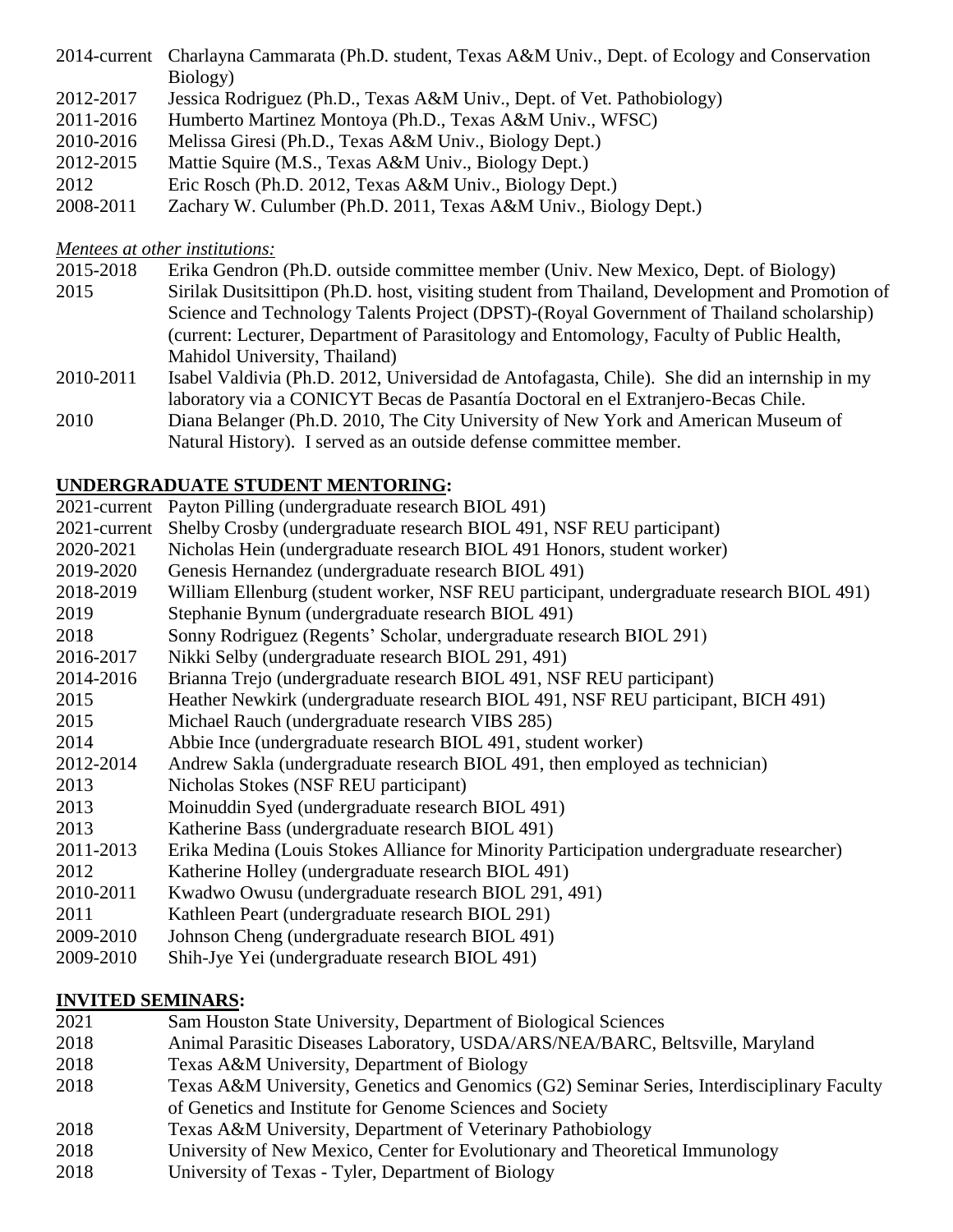- 2014-current Charlayna Cammarata (Ph.D. student, Texas A&M Univ., Dept. of Ecology and Conservation Biology)
- 2012-2017 Jessica Rodriguez (Ph.D., Texas A&M Univ., Dept. of Vet. Pathobiology)
- 2011-2016 Humberto Martinez Montoya (Ph.D., Texas A&M Univ., WFSC)
- 2010-2016 Melissa Giresi (Ph.D., Texas A&M Univ., Biology Dept.)
- 2012-2015 Mattie Squire (M.S., Texas A&M Univ., Biology Dept.)
- 2012 Eric Rosch (Ph.D. 2012, Texas A&M Univ., Biology Dept.)
- 2008-2011 Zachary W. Culumber (Ph.D. 2011, Texas A&M Univ., Biology Dept.)

### *Mentees at other institutions:*

- 2015-2018 Erika Gendron (Ph.D. outside committee member (Univ. New Mexico, Dept. of Biology)
- 2015 Sirilak Dusitsittipon (Ph.D. host, visiting student from Thailand, Development and Promotion of Science and Technology Talents Project (DPST)-(Royal Government of Thailand scholarship) (current: Lecturer, Department of Parasitology and Entomology, Faculty of Public Health, Mahidol University, Thailand)
- 2010-2011 Isabel Valdivia (Ph.D. 2012, Universidad de Antofagasta, Chile). She did an internship in my laboratory via a CONICYT Becas de Pasantía Doctoral en el Extranjero-Becas Chile.
- 2010 Diana Belanger (Ph.D. 2010, The City University of New York and American Museum of Natural History). I served as an outside defense committee member.

# **UNDERGRADUATE STUDENT MENTORING:**

- 2021-current Payton Pilling (undergraduate research BIOL 491)
- 2021-current Shelby Crosby (undergraduate research BIOL 491, NSF REU participant)
- 2020-2021 Nicholas Hein (undergraduate research BIOL 491 Honors, student worker)
- 2019-2020 Genesis Hernandez (undergraduate research BIOL 491)
- 2018-2019 William Ellenburg (student worker, NSF REU participant, undergraduate research BIOL 491)
- 2019 Stephanie Bynum (undergraduate research BIOL 491)
- 2018 Sonny Rodriguez (Regents' Scholar, undergraduate research BIOL 291)
- 2016-2017 Nikki Selby (undergraduate research BIOL 291, 491)
- 2014-2016 Brianna Trejo (undergraduate research BIOL 491, NSF REU participant)
- 2015 Heather Newkirk (undergraduate research BIOL 491, NSF REU participant, BICH 491)
- 2015 Michael Rauch (undergraduate research VIBS 285)
- 2014 Abbie Ince (undergraduate research BIOL 491, student worker)
- 2012-2014 Andrew Sakla (undergraduate research BIOL 491, then employed as technician)
- 2013 Nicholas Stokes (NSF REU participant)
- 2013 Moinuddin Syed (undergraduate research BIOL 491)
- 2013 Katherine Bass (undergraduate research BIOL 491)
- 2011-2013 Erika Medina (Louis Stokes Alliance for Minority Participation undergraduate researcher)
- 2012 Katherine Holley (undergraduate research BIOL 491)
- 2010-2011 Kwadwo Owusu (undergraduate research BIOL 291, 491)
- 2011 Kathleen Peart (undergraduate research BIOL 291)
- 2009-2010 Johnson Cheng (undergraduate research BIOL 491)
- 2009-2010 Shih-Jye Yei (undergraduate research BIOL 491)

# **INVITED SEMINARS:**

- 2021 Sam Houston State University, Department of Biological Sciences
- 2018 Animal Parasitic Diseases Laboratory, USDA/ARS/NEA/BARC, Beltsville, Maryland
- 2018 Texas A&M University, Department of Biology
- 2018 Texas A&M University, Genetics and Genomics (G2) Seminar Series, Interdisciplinary Faculty of Genetics and Institute for Genome Sciences and Society
- 2018 Texas A&M University, Department of Veterinary Pathobiology
- 2018 University of New Mexico, Center for Evolutionary and Theoretical Immunology
- 2018 University of Texas Tyler, Department of Biology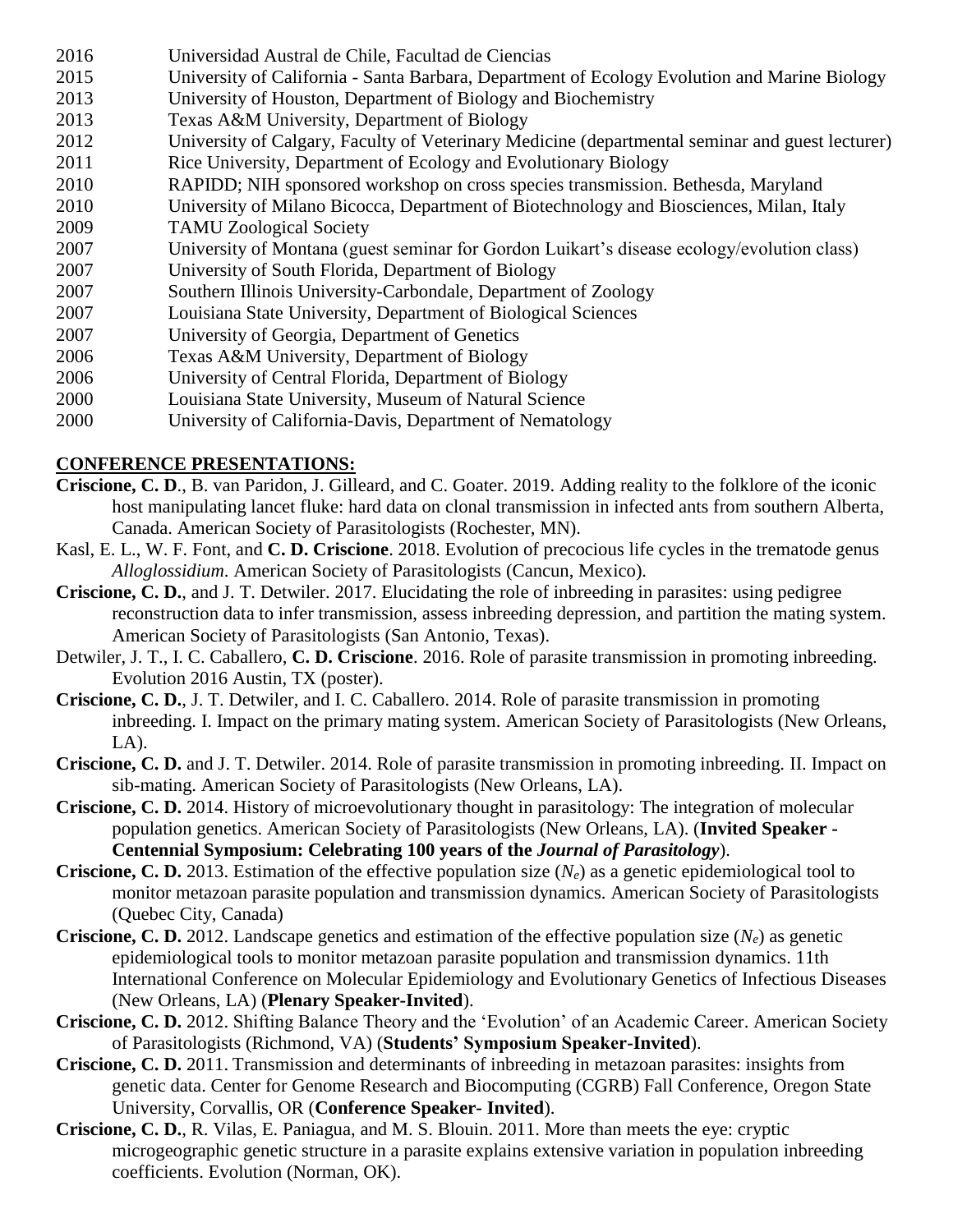- 2016 Universidad Austral de Chile, Facultad de Ciencias
- 2015 University of California Santa Barbara, Department of Ecology Evolution and Marine Biology
- 2013 University of Houston, Department of Biology and Biochemistry
- 2013 Texas A&M University, Department of Biology
- 2012 University of Calgary, Faculty of Veterinary Medicine (departmental seminar and guest lecturer)
- 2011 Rice University, Department of Ecology and Evolutionary Biology
- 2010 RAPIDD; NIH sponsored workshop on cross species transmission. Bethesda, Maryland
- 2010 University of Milano Bicocca, Department of Biotechnology and Biosciences, Milan, Italy
- 2009 TAMU Zoological Society
- 2007 University of Montana (guest seminar for Gordon Luikart's disease ecology/evolution class)
- 2007 University of South Florida, Department of Biology
- 2007 Southern Illinois University-Carbondale, Department of Zoology
- 2007 Louisiana State University, Department of Biological Sciences
- 2007 University of Georgia, Department of Genetics
- 2006 Texas A&M University, Department of Biology
- 2006 University of Central Florida, Department of Biology
- 2000 Louisiana State University, Museum of Natural Science
- 2000 University of California-Davis, Department of Nematology

# **CONFERENCE PRESENTATIONS:**

- **Criscione, C. D**., B. van Paridon, J. Gilleard, and C. Goater. 2019. Adding reality to the folklore of the iconic host manipulating lancet fluke: hard data on clonal transmission in infected ants from southern Alberta, Canada. American Society of Parasitologists (Rochester, MN).
- Kasl, E. L., W. F. Font, and **C. D. Criscione**. 2018. Evolution of precocious life cycles in the trematode genus *Alloglossidium*. American Society of Parasitologists (Cancun, Mexico).
- **Criscione, C. D.**, and J. T. Detwiler. 2017. Elucidating the role of inbreeding in parasites: using pedigree reconstruction data to infer transmission, assess inbreeding depression, and partition the mating system. American Society of Parasitologists (San Antonio, Texas).
- Detwiler, J. T., I. C. Caballero, **C. D. Criscione**. 2016. Role of parasite transmission in promoting inbreeding. Evolution 2016 Austin, TX (poster).
- **Criscione, C. D.**, J. T. Detwiler, and I. C. Caballero. 2014. Role of parasite transmission in promoting inbreeding. I. Impact on the primary mating system. American Society of Parasitologists (New Orleans, LA).
- **Criscione, C. D.** and J. T. Detwiler. 2014. Role of parasite transmission in promoting inbreeding. II. Impact on sib-mating. American Society of Parasitologists (New Orleans, LA).
- **Criscione, C. D.** 2014. History of microevolutionary thought in parasitology: The integration of molecular population genetics. American Society of Parasitologists (New Orleans, LA). (**Invited Speaker - Centennial Symposium: Celebrating 100 years of the** *Journal of Parasitology*).
- **Criscione, C. D.** 2013. Estimation of the effective population size (*Ne*) as a genetic epidemiological tool to monitor metazoan parasite population and transmission dynamics. American Society of Parasitologists (Quebec City, Canada)
- **Criscione, C. D.** 2012. Landscape genetics and estimation of the effective population size (*Ne*) as genetic epidemiological tools to monitor metazoan parasite population and transmission dynamics. 11th International Conference on Molecular Epidemiology and Evolutionary Genetics of Infectious Diseases (New Orleans, LA) (**Plenary Speaker-Invited**).
- **Criscione, C. D.** 2012. Shifting Balance Theory and the 'Evolution' of an Academic Career. American Society of Parasitologists (Richmond, VA) (**Students' Symposium Speaker-Invited**).
- **Criscione, C. D.** 2011. Transmission and determinants of inbreeding in metazoan parasites: insights from genetic data. Center for Genome Research and Biocomputing (CGRB) Fall Conference, Oregon State University, Corvallis, OR (**Conference Speaker- Invited**).
- **Criscione, C. D.**, R. Vilas, E. Paniagua, and M. S. Blouin. 2011. More than meets the eye: cryptic microgeographic genetic structure in a parasite explains extensive variation in population inbreeding coefficients. Evolution (Norman, OK).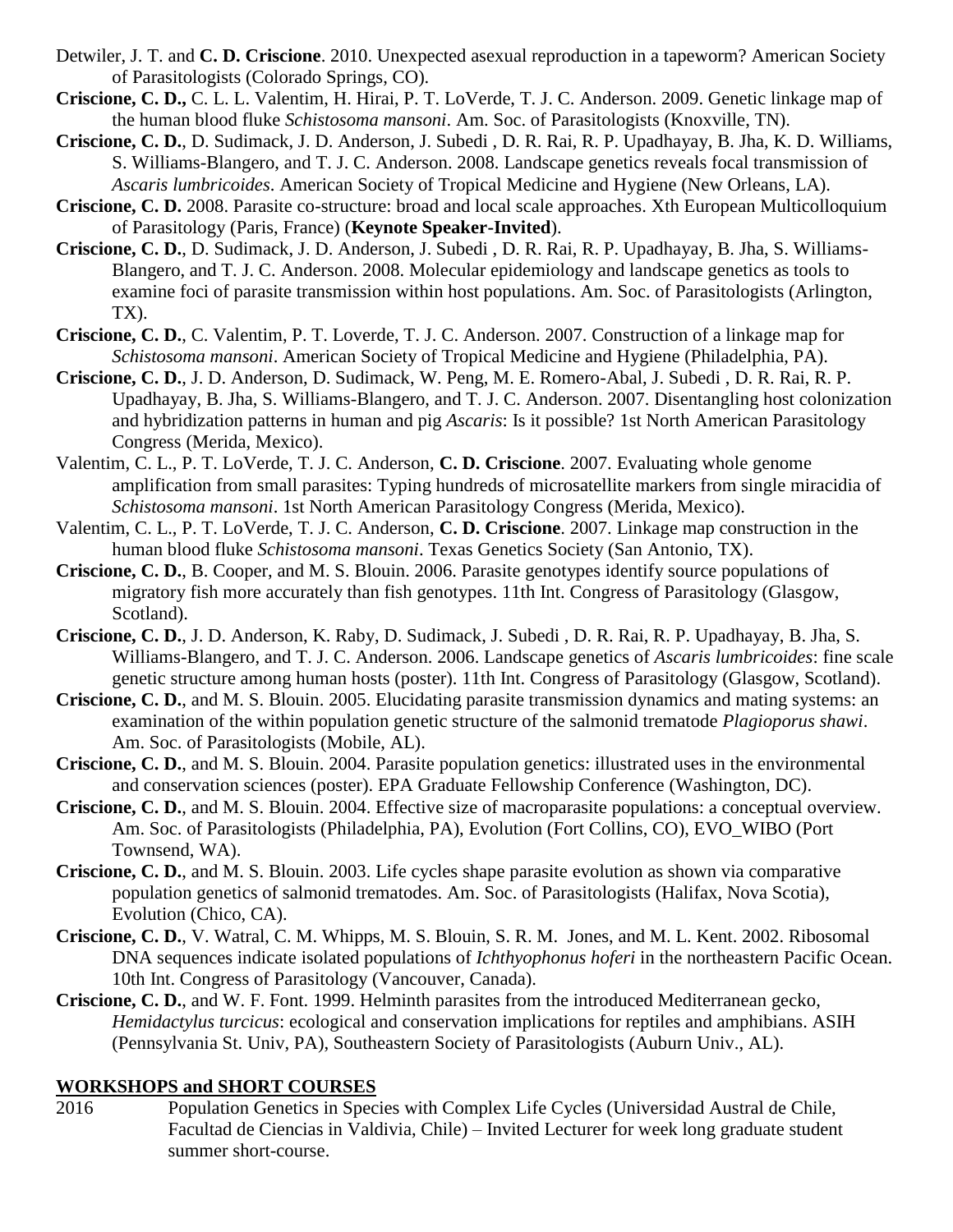- Detwiler, J. T. and **C. D. Criscione**. 2010. Unexpected asexual reproduction in a tapeworm? American Society of Parasitologists (Colorado Springs, CO).
- **Criscione, C. D.,** C. L. L. Valentim, H. Hirai, P. T. LoVerde, T. J. C. Anderson. 2009. Genetic linkage map of the human blood fluke *Schistosoma mansoni*. Am. Soc. of Parasitologists (Knoxville, TN).
- **Criscione, C. D.**, D. Sudimack, J. D. Anderson, J. Subedi , D. R. Rai, R. P. Upadhayay, B. Jha, K. D. Williams, S. Williams-Blangero, and T. J. C. Anderson. 2008. Landscape genetics reveals focal transmission of *Ascaris lumbricoides*. American Society of Tropical Medicine and Hygiene (New Orleans, LA).
- **Criscione, C. D.** 2008. Parasite co-structure: broad and local scale approaches. Xth European Multicolloquium of Parasitology (Paris, France) (**Keynote Speaker-Invited**).
- **Criscione, C. D.**, D. Sudimack, J. D. Anderson, J. Subedi , D. R. Rai, R. P. Upadhayay, B. Jha, S. Williams-Blangero, and T. J. C. Anderson. 2008. Molecular epidemiology and landscape genetics as tools to examine foci of parasite transmission within host populations. Am. Soc. of Parasitologists (Arlington, TX).
- **Criscione, C. D.**, C. Valentim, P. T. Loverde, T. J. C. Anderson. 2007. Construction of a linkage map for *Schistosoma mansoni*. American Society of Tropical Medicine and Hygiene (Philadelphia, PA).
- **Criscione, C. D.**, J. D. Anderson, D. Sudimack, W. Peng, M. E. Romero-Abal, J. Subedi , D. R. Rai, R. P. Upadhayay, B. Jha, S. Williams-Blangero, and T. J. C. Anderson. 2007. Disentangling host colonization and hybridization patterns in human and pig *Ascaris*: Is it possible? 1st North American Parasitology Congress (Merida, Mexico).
- Valentim, C. L., P. T. LoVerde, T. J. C. Anderson, **C. D. Criscione**. 2007. Evaluating whole genome amplification from small parasites: Typing hundreds of microsatellite markers from single miracidia of *Schistosoma mansoni*. 1st North American Parasitology Congress (Merida, Mexico).
- Valentim, C. L., P. T. LoVerde, T. J. C. Anderson, **C. D. Criscione**. 2007. Linkage map construction in the human blood fluke *Schistosoma mansoni*. Texas Genetics Society (San Antonio, TX).
- **Criscione, C. D.**, B. Cooper, and M. S. Blouin. 2006. Parasite genotypes identify source populations of migratory fish more accurately than fish genotypes. 11th Int. Congress of Parasitology (Glasgow, Scotland).
- **Criscione, C. D.**, J. D. Anderson, K. Raby, D. Sudimack, J. Subedi , D. R. Rai, R. P. Upadhayay, B. Jha, S. Williams-Blangero, and T. J. C. Anderson. 2006. Landscape genetics of *Ascaris lumbricoides*: fine scale genetic structure among human hosts (poster). 11th Int. Congress of Parasitology (Glasgow, Scotland).
- **Criscione, C. D.**, and M. S. Blouin. 2005. Elucidating parasite transmission dynamics and mating systems: an examination of the within population genetic structure of the salmonid trematode *Plagioporus shawi*. Am. Soc. of Parasitologists (Mobile, AL).
- **Criscione, C. D.**, and M. S. Blouin. 2004. Parasite population genetics: illustrated uses in the environmental and conservation sciences (poster). EPA Graduate Fellowship Conference (Washington, DC).
- **Criscione, C. D.**, and M. S. Blouin. 2004. Effective size of macroparasite populations: a conceptual overview. Am. Soc. of Parasitologists (Philadelphia, PA), Evolution (Fort Collins, CO), EVO\_WIBO (Port Townsend, WA).
- **Criscione, C. D.**, and M. S. Blouin. 2003. Life cycles shape parasite evolution as shown via comparative population genetics of salmonid trematodes. Am. Soc. of Parasitologists (Halifax, Nova Scotia), Evolution (Chico, CA).
- **Criscione, C. D.**, V. Watral, C. M. Whipps, M. S. Blouin, S. R. M. Jones, and M. L. Kent. 2002. Ribosomal DNA sequences indicate isolated populations of *Ichthyophonus hoferi* in the northeastern Pacific Ocean. 10th Int. Congress of Parasitology (Vancouver, Canada).
- **Criscione, C. D.**, and W. F. Font. 1999. Helminth parasites from the introduced Mediterranean gecko, *Hemidactylus turcicus*: ecological and conservation implications for reptiles and amphibians. ASIH (Pennsylvania St. Univ, PA), Southeastern Society of Parasitologists (Auburn Univ., AL).

#### **WORKSHOPS and SHORT COURSES**

2016 Population Genetics in Species with Complex Life Cycles (Universidad Austral de Chile, Facultad de Ciencias in Valdivia, Chile) – Invited Lecturer for week long graduate student summer short-course.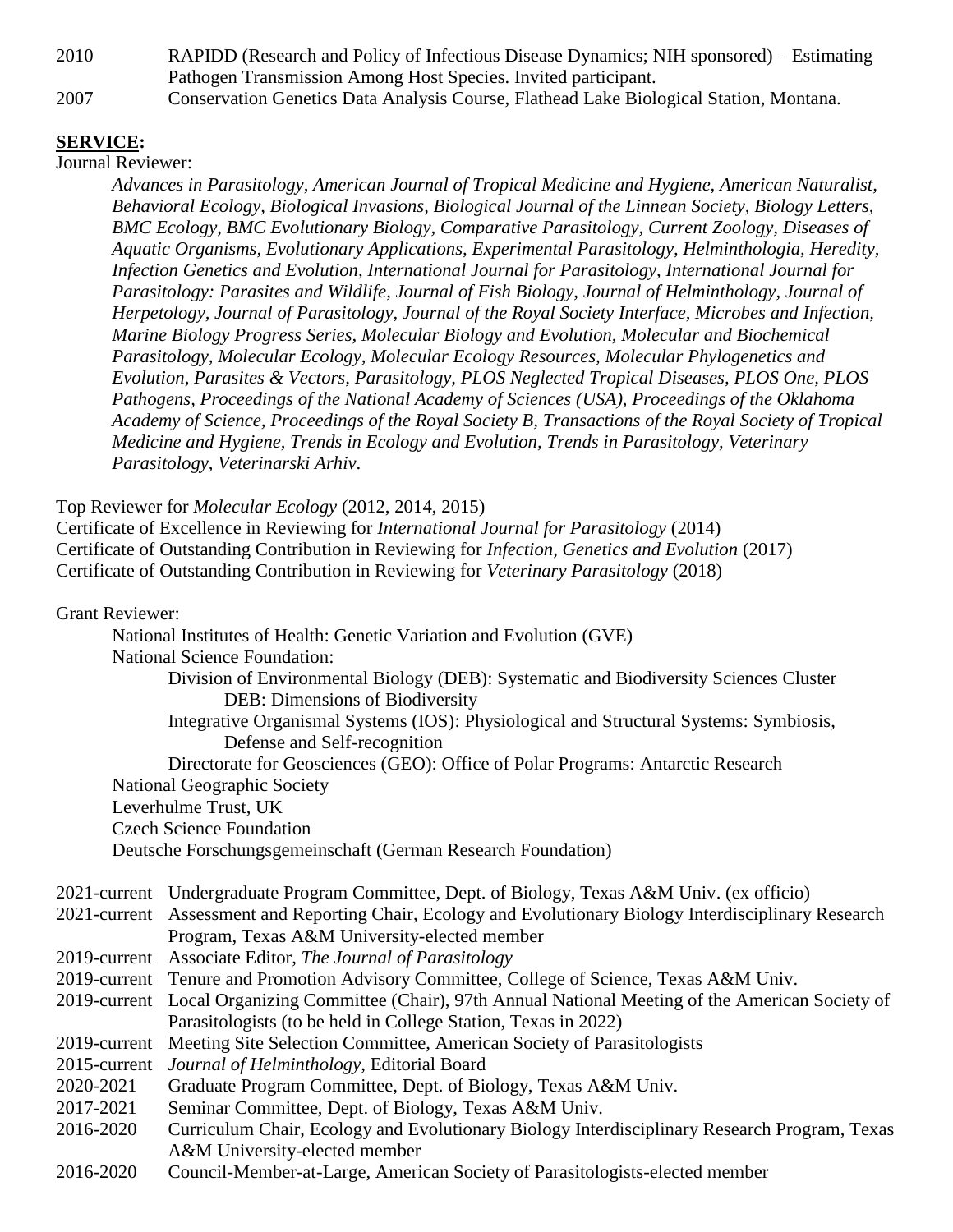2010 RAPIDD (Research and Policy of Infectious Disease Dynamics; NIH sponsored) – Estimating Pathogen Transmission Among Host Species. Invited participant.

2007 Conservation Genetics Data Analysis Course, Flathead Lake Biological Station, Montana.

#### **SERVICE:**

Journal Reviewer:

*Advances in Parasitology, American Journal of Tropical Medicine and Hygiene, American Naturalist, Behavioral Ecology, Biological Invasions, Biological Journal of the Linnean Society, Biology Letters, BMC Ecology, BMC Evolutionary Biology, Comparative Parasitology, Current Zoology, Diseases of Aquatic Organisms, Evolutionary Applications, Experimental Parasitology, Helminthologia, Heredity, Infection Genetics and Evolution, International Journal for Parasitology, International Journal for Parasitology: Parasites and Wildlife, Journal of Fish Biology, Journal of Helminthology, Journal of Herpetology, Journal of Parasitology, Journal of the Royal Society Interface, Microbes and Infection, Marine Biology Progress Series, Molecular Biology and Evolution, Molecular and Biochemical Parasitology, Molecular Ecology, Molecular Ecology Resources, Molecular Phylogenetics and Evolution, Parasites & Vectors, Parasitology, PLOS Neglected Tropical Diseases, PLOS One, PLOS Pathogens, Proceedings of the National Academy of Sciences (USA), Proceedings of the Oklahoma Academy of Science, Proceedings of the Royal Society B, Transactions of the Royal Society of Tropical Medicine and Hygiene, Trends in Ecology and Evolution, Trends in Parasitology, Veterinary Parasitology, Veterinarski Arhiv*.

Top Reviewer for *Molecular Ecology* (2012, 2014, 2015)

Certificate of Excellence in Reviewing for *International Journal for Parasitology* (2014) Certificate of Outstanding Contribution in Reviewing for *Infection, Genetics and Evolution* (2017) Certificate of Outstanding Contribution in Reviewing for *Veterinary Parasitology* (2018)

Grant Reviewer:

| OIAIIU IWIUWU. |                                                                                                          |
|----------------|----------------------------------------------------------------------------------------------------------|
|                | National Institutes of Health: Genetic Variation and Evolution (GVE)                                     |
|                | <b>National Science Foundation:</b>                                                                      |
|                | Division of Environmental Biology (DEB): Systematic and Biodiversity Sciences Cluster                    |
|                | DEB: Dimensions of Biodiversity                                                                          |
|                | Integrative Organismal Systems (IOS): Physiological and Structural Systems: Symbiosis,                   |
|                | Defense and Self-recognition                                                                             |
|                | Directorate for Geosciences (GEO): Office of Polar Programs: Antarctic Research                          |
|                | <b>National Geographic Society</b>                                                                       |
|                | Leverhulme Trust, UK                                                                                     |
|                | <b>Czech Science Foundation</b>                                                                          |
|                | Deutsche Forschungsgemeinschaft (German Research Foundation)                                             |
|                | 2021-current Undergraduate Program Committee, Dept. of Biology, Texas A&M Univ. (ex officio)             |
|                | 2021-current Assessment and Reporting Chair, Ecology and Evolutionary Biology Interdisciplinary Research |
|                | Program, Texas A&M University-elected member                                                             |
|                | 2019-current Associate Editor, The Journal of Parasitology                                               |
|                | 2019-current Tenure and Promotion Advisory Committee, College of Science, Texas A&M Univ.                |
|                | 2019-current Local Organizing Committee (Chair), 97th Annual National Meeting of the American Society of |
|                | Parasitologists (to be held in College Station, Texas in 2022)                                           |
|                | 2019-current Meeting Site Selection Committee, American Society of Parasitologists                       |
| 2015-current   | Journal of Helminthology, Editorial Board                                                                |
| 2020-2021      | Graduate Program Committee, Dept. of Biology, Texas A&M Univ.                                            |
| 2017-2021      | Seminar Committee, Dept. of Biology, Texas A&M Univ.                                                     |
| 2016-2020      | Curriculum Chair, Ecology and Evolutionary Biology Interdisciplinary Research Program, Texas             |
|                | A&M University-elected member                                                                            |
| 2016-2020      | Council-Member-at-Large, American Society of Parasitologists-elected member                              |
|                |                                                                                                          |